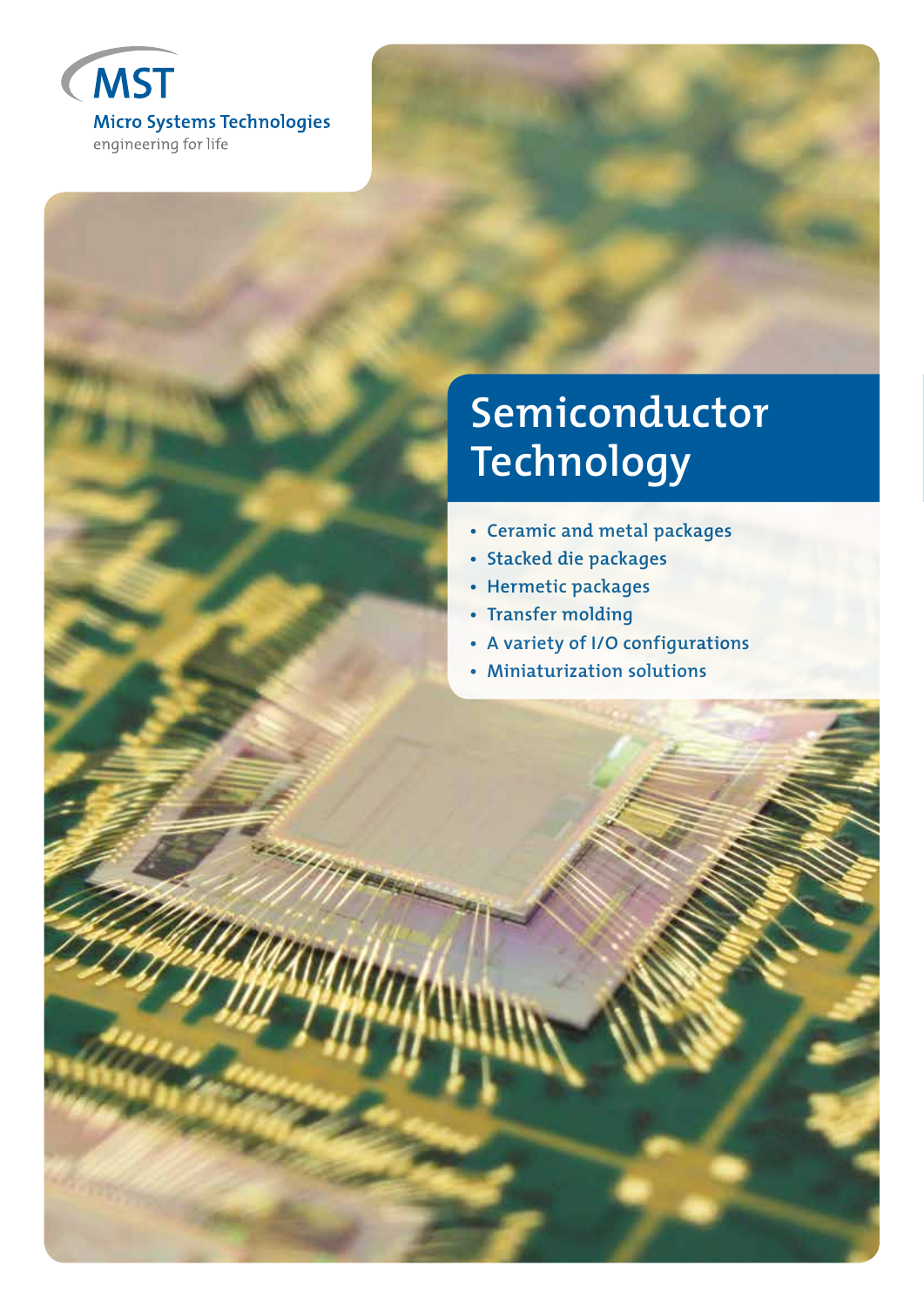

# **Semiconductor Technology**

- **Ceramic and metal packages**
- **Stacked die packages**
- **Hermetic packages**
- **Transfer molding**
- **A variety of I/O configurations**
- **Miniaturization solutions**